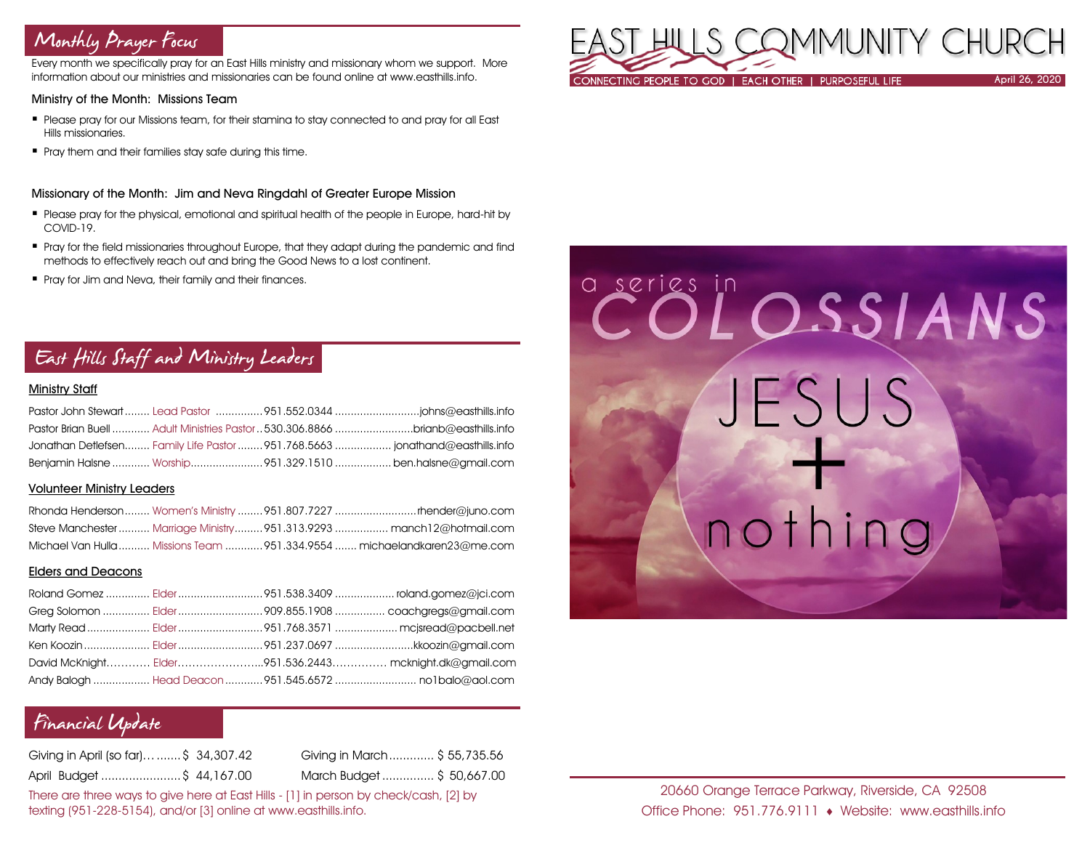## Monthly Prayer Focus

Every month we specifically pray for an East Hills ministry and missionary whom we support. More information about our ministries and missionaries can be found online at www.easthills.info.

### Ministry of the Month: Missions Team

- Please pray for our Missions team, for their stamina to stay connected to and pray for all East Hills missionaries.
- **Pray them and their families stay safe during this time.**

#### Missionary of the Month: Jim and Neva Ringdahl of Greater Europe Mission

- Please pray for the physical, emotional and spiritual health of the people in Europe, hard-hit by COVID-19.
- Pray for the field missionaries throughout Europe, that they adapt during the pandemic and find methods to effectively reach out and bring the Good News to a lost continent.
- **Pray for Jim and Neva, their family and their finances.**

### East Hills Staff and Ministry Leaders

### Ministry Staff

| Pastor Brian Buell  Adult Ministries Pastor  530.306.8866 brianb@easthills.info |  |
|---------------------------------------------------------------------------------|--|
| Jonathan Detlefsen Family Life Pastor  951.768.5663  jonathand@easthills.info   |  |
| Benjamin Halsne  Worship951.329.1510  ben.halsne@gmail.com                      |  |

#### Volunteer Ministry Leaders

|  | Steve Manchester  Marriage Ministry  951.313.9293  manch12@hotmail.com  |
|--|-------------------------------------------------------------------------|
|  | Michael Van Hulla  Missions Team 951.334.9554  michaelandkaren23@me.com |

### Elders and Deacons

|  | David McKnight Elder951.536.2443 mcknight.dk@gmail.com |
|--|--------------------------------------------------------|
|  |                                                        |

### Financial Update

| Giving in April (so far)\$ 34,307.42 | Giving in March \$ 55,735.56 |
|--------------------------------------|------------------------------|
| April Budget \$ 44,167.00            | March Budget \$ 50,667.00    |

There are three ways to give here at East Hills - [1] in person by check/cash, [2] by texting (951-228-5154), and/or [3] online at www.easthills.info.